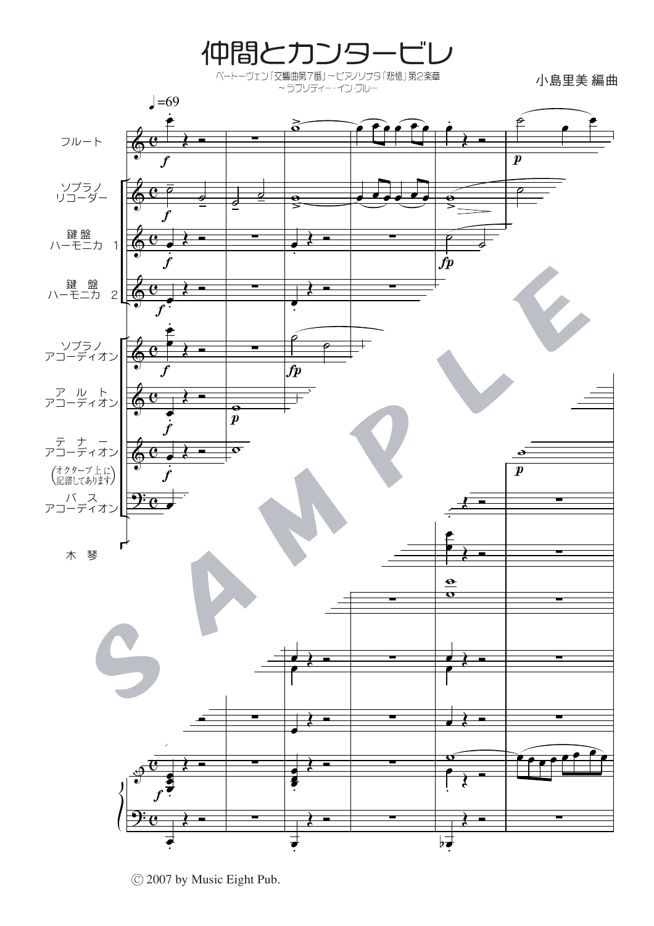

C 2007 by Music Eight Pub.